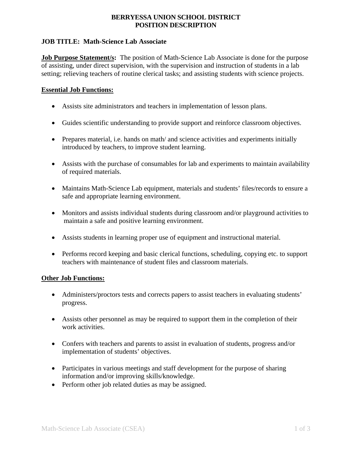# **BERRYESSA UNION SCHOOL DISTRICT POSITION DESCRIPTION**

## **JOB TITLE: Math-Science Lab Associate**

**Job Purpose Statement/s:** The position of Math-Science Lab Associate is done for the purpose of assisting, under direct supervision, with the supervision and instruction of students in a lab setting; relieving teachers of routine clerical tasks; and assisting students with science projects.

## **Essential Job Functions:**

- Assists site administrators and teachers in implementation of lesson plans.
- Guides scientific understanding to provide support and reinforce classroom objectives.
- Prepares material, i.e. hands on math/ and science activities and experiments initially introduced by teachers, to improve student learning.
- Assists with the purchase of consumables for lab and experiments to maintain availability of required materials.
- Maintains Math-Science Lab equipment, materials and students' files/records to ensure a safe and appropriate learning environment.
- Monitors and assists individual students during classroom and/or playground activities to maintain a safe and positive learning environment.
- Assists students in learning proper use of equipment and instructional material.
- Performs record keeping and basic clerical functions, scheduling, copying etc. to support teachers with maintenance of student files and classroom materials.

## **Other Job Functions:**

- Administers/proctors tests and corrects papers to assist teachers in evaluating students' progress.
- Assists other personnel as may be required to support them in the completion of their work activities.
- Confers with teachers and parents to assist in evaluation of students, progress and/or implementation of students' objectives.
- Participates in various meetings and staff development for the purpose of sharing information and/or improving skills/knowledge.
- Perform other job related duties as may be assigned.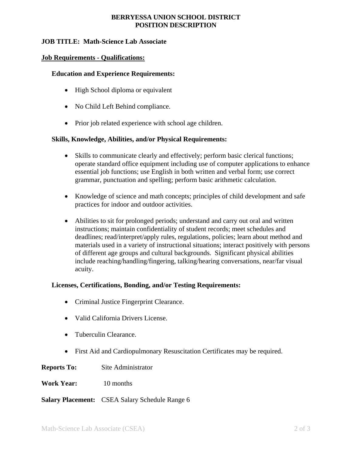# **BERRYESSA UNION SCHOOL DISTRICT POSITION DESCRIPTION**

# **JOB TITLE: Math-Science Lab Associate**

#### **Job Requirements - Qualifications:**

## **Education and Experience Requirements:**

- High School diploma or equivalent
- No Child Left Behind compliance.
- Prior job related experience with school age children.

#### **Skills, Knowledge, Abilities, and/or Physical Requirements:**

- Skills to communicate clearly and effectively; perform basic clerical functions; operate standard office equipment including use of computer applications to enhance essential job functions; use English in both written and verbal form; use correct grammar, punctuation and spelling; perform basic arithmetic calculation.
- Knowledge of science and math concepts; principles of child development and safe practices for indoor and outdoor activities.
- Abilities to sit for prolonged periods; understand and carry out oral and written instructions; maintain confidentiality of student records; meet schedules and deadlines; read/interpret/apply rules, regulations, policies; learn about method and materials used in a variety of instructional situations; interact positively with persons of different age groups and cultural backgrounds. Significant physical abilities include reaching/handling/fingering, talking/hearing conversations, near/far visual acuity.

## **Licenses, Certifications, Bonding, and/or Testing Requirements:**

- Criminal Justice Fingerprint Clearance.
- Valid California Drivers License.
- Tuberculin Clearance.
- First Aid and Cardiopulmonary Resuscitation Certificates may be required.

**Reports To:** Site Administrator

**Work Year:** 10 months

**Salary Placement:** CSEA Salary Schedule Range 6